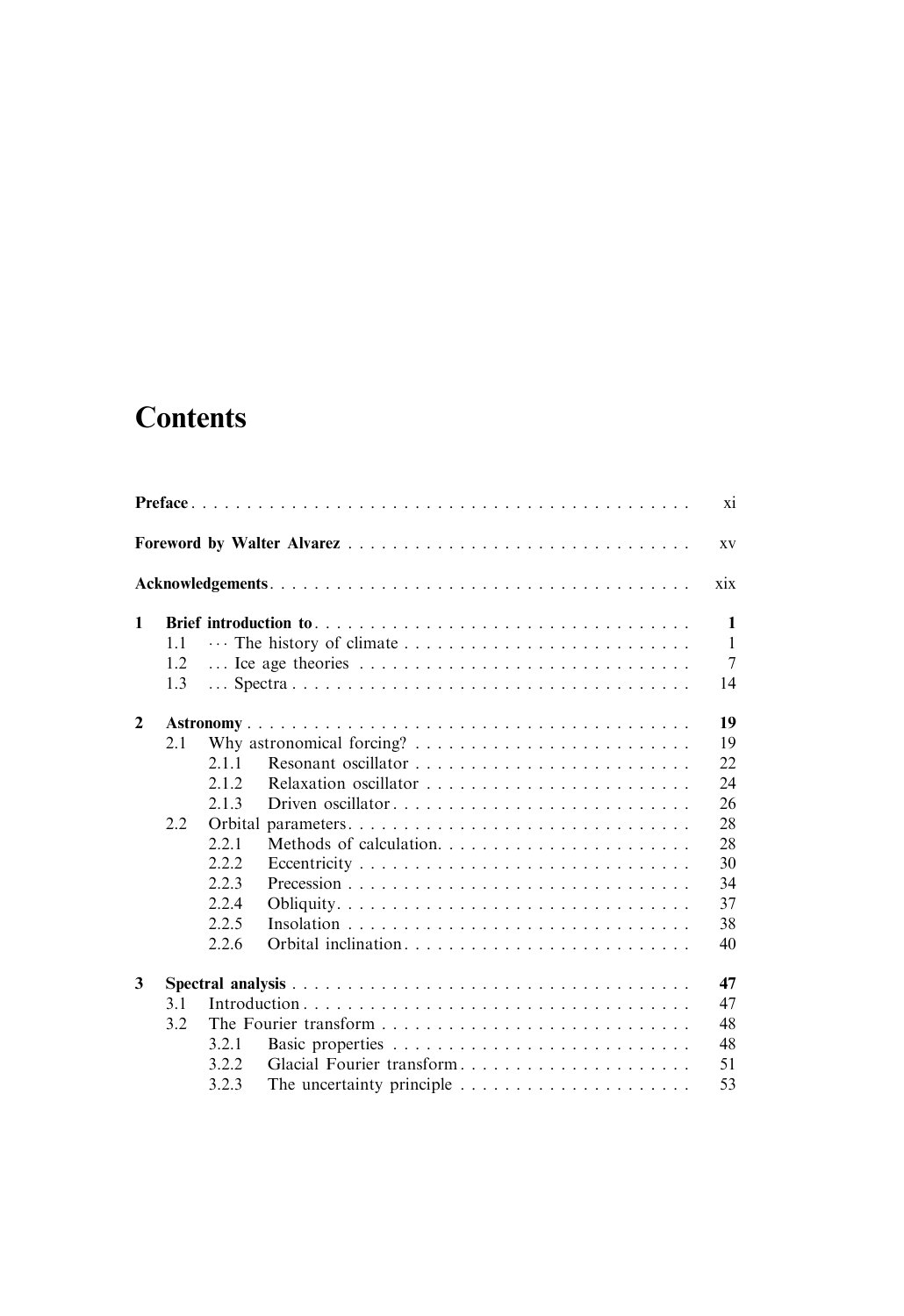# **Contents**

|              |     |       |                           | xi           |
|--------------|-----|-------|---------------------------|--------------|
|              |     |       |                           | XV           |
|              |     |       |                           | xix          |
| $\mathbf{1}$ |     |       |                           | $\mathbf{1}$ |
|              | 1.1 |       |                           | $\mathbf{1}$ |
|              | 1.2 |       | Ice age theories          | 7            |
|              | 1.3 |       |                           | 14           |
| $\mathbf{2}$ |     |       |                           | 19           |
|              | 2.1 |       |                           | 19           |
|              |     | 2.1.1 |                           | 22           |
|              |     | 2.1.2 |                           | 24           |
|              |     | 2.1.3 | Driven oscillator         | 26           |
|              | 2.2 |       |                           | 28           |
|              |     | 2.2.1 |                           | 28           |
|              |     | 2.2.2 |                           | 30           |
|              |     | 2.2.3 |                           | 34           |
|              |     | 2.2.4 |                           | 37           |
|              |     | 2.2.5 |                           | 38           |
|              |     | 2.2.6 |                           | 40           |
| 3            |     |       |                           | 47           |
|              | 3.1 |       |                           | 47           |
|              | 3.2 |       |                           | 48           |
|              |     | 3.2.1 |                           | 48           |
|              |     | 3.2.2 | Glacial Fourier transform | 51           |
|              |     | 3.2.3 |                           | 53           |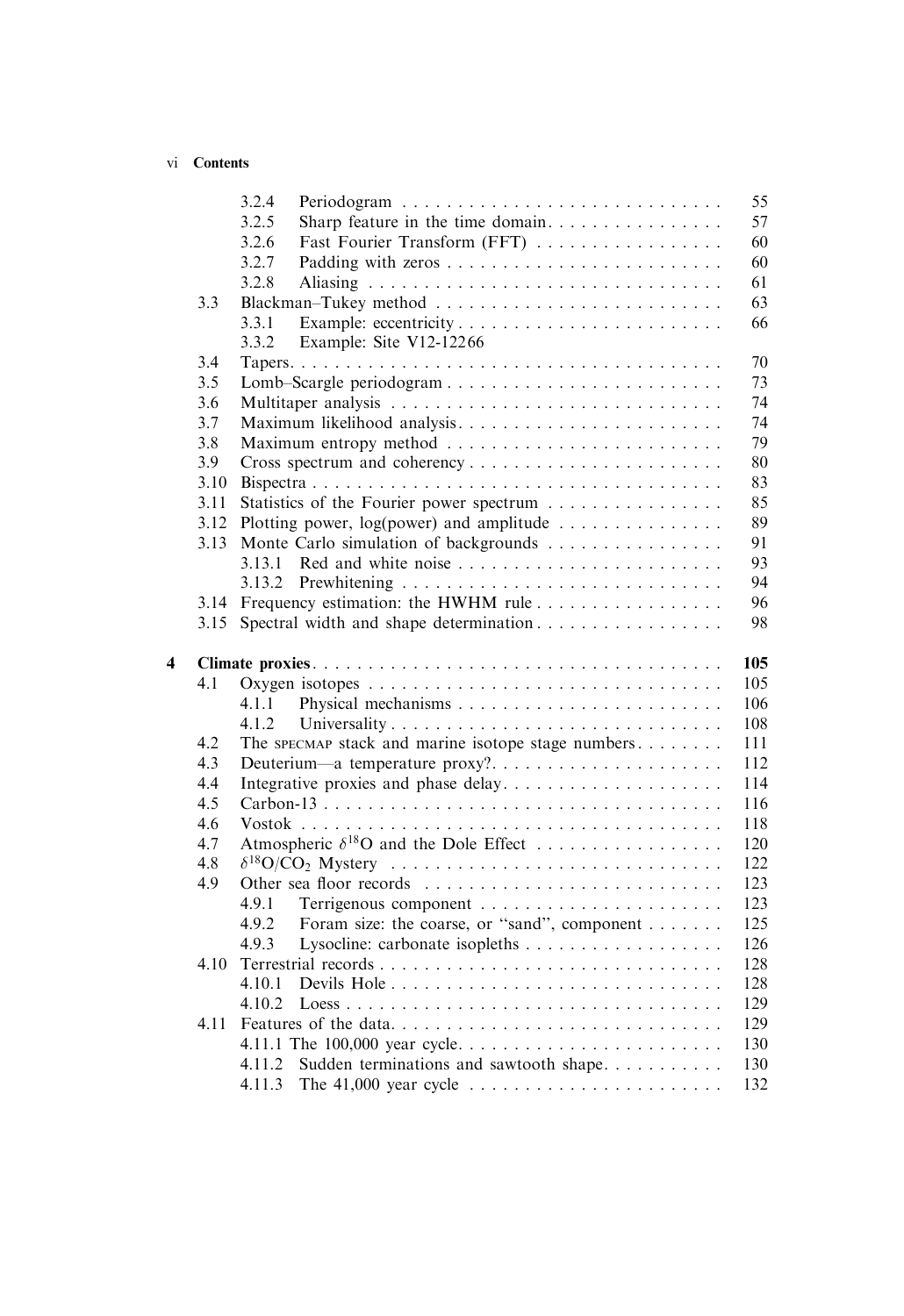#### vi Contents

|   |      | 3.2.4                                                        | 55  |
|---|------|--------------------------------------------------------------|-----|
|   |      | 3.2.5                                                        | 57  |
|   |      | 3.2.6<br>Fast Fourier Transform (FFT)                        | 60  |
|   |      | 3.2.7                                                        | 60  |
|   |      | 3.2.8                                                        | 61  |
|   | 3.3  |                                                              | 63  |
|   |      | 3.3.1                                                        | 66  |
|   |      | 3.3.2<br>Example: Site V12-12266                             |     |
|   | 3.4  |                                                              | 70  |
|   | 3.5  |                                                              | 73  |
|   | 3.6  |                                                              | 74  |
|   | 3.7  |                                                              | 74  |
|   | 3.8  |                                                              | 79  |
|   | 3.9  |                                                              | 80  |
|   | 3.10 |                                                              | 83  |
|   | 3.11 | Statistics of the Fourier power spectrum                     | 85  |
|   |      | 3.12 Plotting power, log(power) and amplitude                | 89  |
|   | 3.13 | Monte Carlo simulation of backgrounds                        | 91  |
|   |      |                                                              | 93  |
|   |      |                                                              | 94  |
|   |      | 3.14 Frequency estimation: the HWHM rule                     | 96  |
|   |      | 3.15 Spectral width and shape determination                  | 98  |
| 4 | 4.1  | 105<br>105                                                   |     |
|   |      | 4.1.1                                                        | 106 |
|   |      | 108<br>4.1.2                                                 |     |
|   | 4.2  | 111<br>The SPECMAP stack and marine isotope stage numbers    |     |
|   | 4.3  | 112<br>Deuterium—a temperature proxy?                        |     |
|   | 4.4  | 114<br>Integrative proxies and phase delay                   |     |
|   | 4.5  | 116                                                          |     |
|   | 4.6  | 118                                                          |     |
|   | 4.7  | Atmospheric $\delta^{18}$ O and the Dole Effect<br>120       |     |
|   | 4.8  | 122                                                          |     |
|   | 4.9  | 123                                                          |     |
|   |      | 123<br>4.9.1                                                 |     |
|   |      | 125<br>Foram size: the coarse, or "sand", component<br>4.9.2 |     |
|   |      | 126                                                          |     |
|   | 4.10 | 128                                                          |     |
|   |      | 4.10.1<br>128                                                |     |
|   |      | 129<br>4.10.2                                                |     |
|   | 4.11 | 129<br>Features of the data                                  |     |
|   |      | 130                                                          |     |
|   |      | 130<br>Sudden terminations and sawtooth shape<br>4.11.2      |     |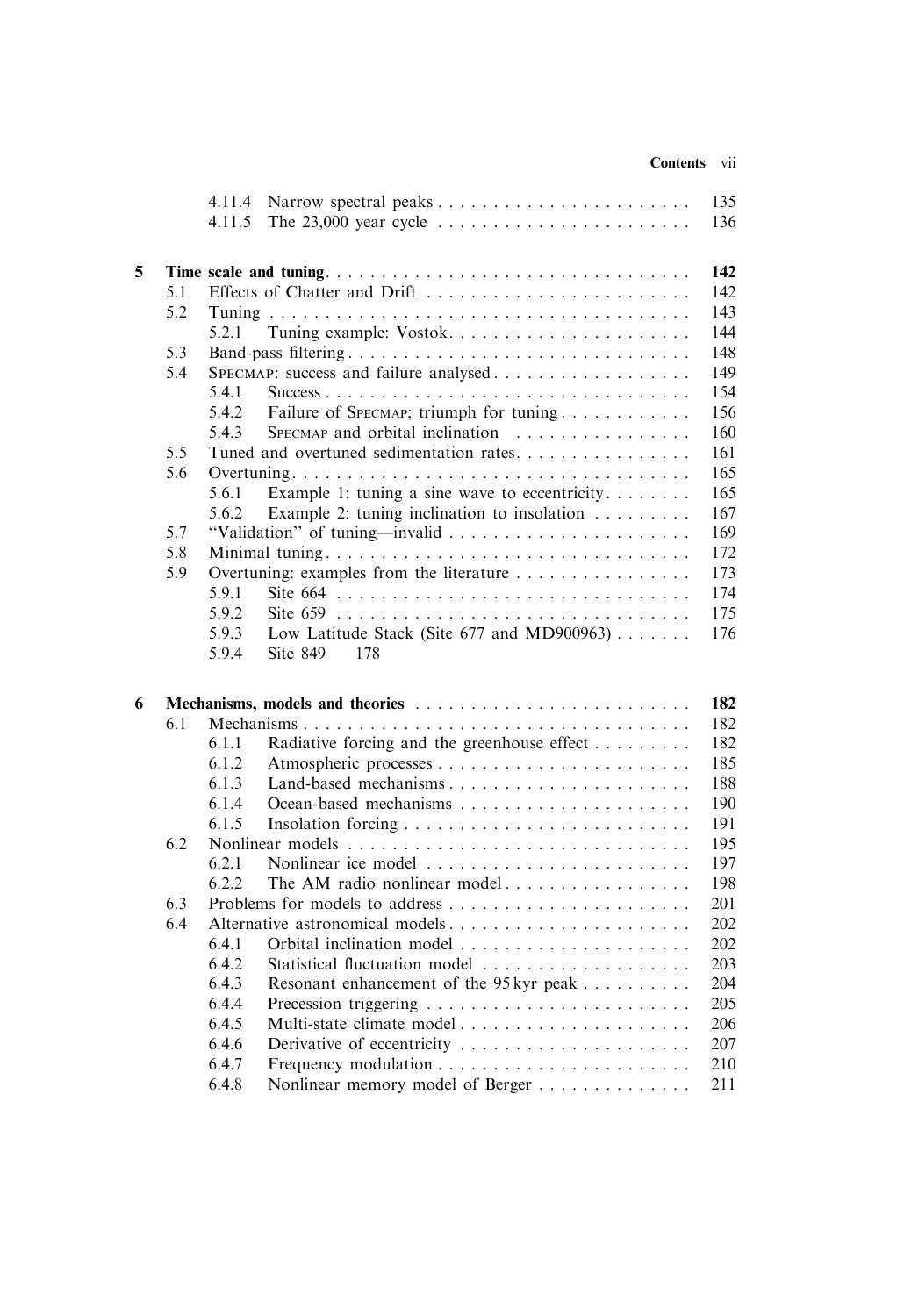### Contents vii

|   |     | 4.11.4 |                                                                      | 135 |
|---|-----|--------|----------------------------------------------------------------------|-----|
|   |     | 4.11.5 |                                                                      | 136 |
|   |     |        |                                                                      |     |
| 5 |     |        |                                                                      | 142 |
|   | 5.1 |        | Effects of Chatter and Drift                                         | 142 |
|   | 5.2 |        |                                                                      | 143 |
|   |     | 5.2.1  | Tuning example: Vostok                                               | 144 |
|   | 5.3 |        | Band-pass filtering                                                  | 148 |
|   | 5.4 |        | SPECMAP: success and failure analysed                                | 149 |
|   |     | 5.4.1  |                                                                      | 154 |
|   |     | 5.4.2  | Failure of SPECMAP; triumph for tuning                               | 156 |
|   |     | 5.4.3  | SPECMAP and orbital inclination $\ldots \ldots \ldots \ldots \ldots$ | 160 |
|   | 5.5 |        | Tuned and overtuned sedimentation rates                              | 161 |
|   | 5.6 |        |                                                                      | 165 |
|   |     | 5.6.1  | Example 1: tuning a sine wave to eccentricity                        | 165 |
|   |     | 5.6.2  | Example 2: tuning inclination to insolation $\dots \dots$            | 167 |
|   | 5.7 |        |                                                                      | 169 |
|   | 5.8 |        |                                                                      | 172 |
|   | 5.9 |        | Overtuning: examples from the literature                             | 173 |
|   |     | 5.9.1  |                                                                      | 174 |
|   |     | 5.9.2  |                                                                      | 175 |
|   |     | 5.9.3  | Low Latitude Stack (Site 677 and MD900963)                           | 176 |
|   |     | 5.9.4  | Site 849<br>178                                                      |     |
|   |     |        |                                                                      |     |
| 6 |     |        | Mechanisms, models and theories                                      | 182 |
|   | 6.1 |        |                                                                      | 182 |
|   |     | 6.1.1  | Radiative forcing and the greenhouse effect                          | 182 |
|   |     | 6.1.2  |                                                                      | 185 |
|   |     | 6.1.3  | Land-based mechanisms                                                | 188 |
|   |     | 6.1.4  |                                                                      | 190 |
|   |     | 6.1.5  |                                                                      | 191 |
|   | 6.2 |        |                                                                      | 195 |
|   |     | 6.2.1  | Nonlinear ice model                                                  | 197 |
|   |     | 6.2.2  | The AM radio nonlinear model                                         | 198 |
|   | 6.3 |        |                                                                      | 201 |
|   | 6.4 |        | Alternative astronomical models                                      | 202 |
|   |     |        |                                                                      | 202 |
|   |     | 6.4.2  | Statistical fluctuation model                                        | 203 |
|   |     | 6.4.3  | Resonant enhancement of the 95 kyr peak                              | 204 |
|   |     | 6.4.4  |                                                                      | 205 |
|   |     | 6.4.5  |                                                                      | 206 |
|   |     | 6.4.6  | Derivative of eccentricity                                           | 207 |
|   |     | 6.4.7  |                                                                      | 210 |
|   |     | 6.4.8  | Nonlinear memory model of Berger                                     | 211 |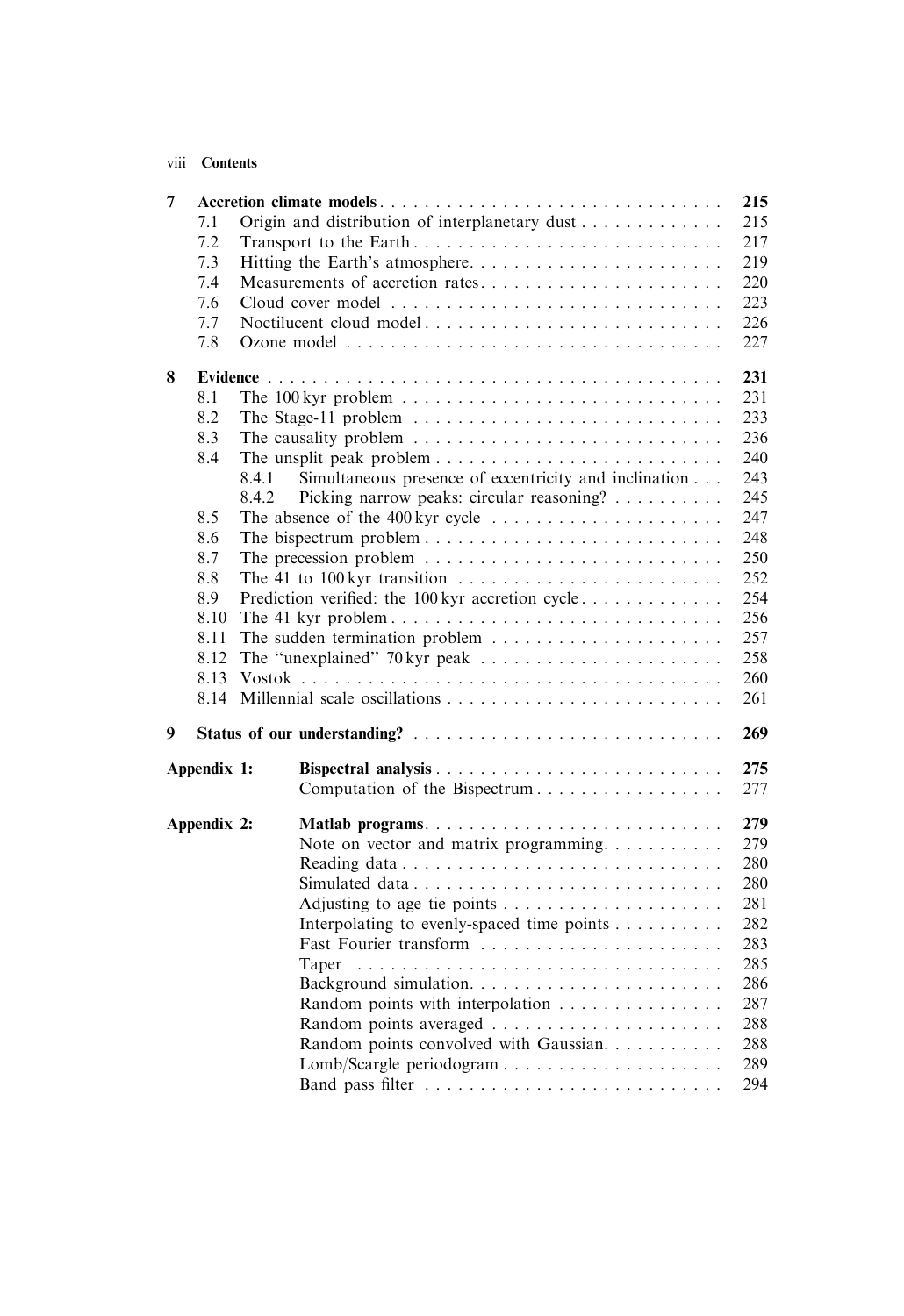#### viii Contents

|     |                                                                                                     |                                              | 215                                                                                                                                                                                                                                                                                                                                                                                                                                                                                                                                                                    |
|-----|-----------------------------------------------------------------------------------------------------|----------------------------------------------|------------------------------------------------------------------------------------------------------------------------------------------------------------------------------------------------------------------------------------------------------------------------------------------------------------------------------------------------------------------------------------------------------------------------------------------------------------------------------------------------------------------------------------------------------------------------|
| 7.1 |                                                                                                     |                                              | 215                                                                                                                                                                                                                                                                                                                                                                                                                                                                                                                                                                    |
| 7.2 |                                                                                                     |                                              | 217                                                                                                                                                                                                                                                                                                                                                                                                                                                                                                                                                                    |
| 7.3 |                                                                                                     |                                              | 219                                                                                                                                                                                                                                                                                                                                                                                                                                                                                                                                                                    |
| 7.4 |                                                                                                     |                                              | 220                                                                                                                                                                                                                                                                                                                                                                                                                                                                                                                                                                    |
|     |                                                                                                     |                                              | 223                                                                                                                                                                                                                                                                                                                                                                                                                                                                                                                                                                    |
|     |                                                                                                     |                                              | 226                                                                                                                                                                                                                                                                                                                                                                                                                                                                                                                                                                    |
|     |                                                                                                     |                                              | 227                                                                                                                                                                                                                                                                                                                                                                                                                                                                                                                                                                    |
|     |                                                                                                     |                                              |                                                                                                                                                                                                                                                                                                                                                                                                                                                                                                                                                                        |
|     |                                                                                                     |                                              | 231                                                                                                                                                                                                                                                                                                                                                                                                                                                                                                                                                                    |
| 8.1 |                                                                                                     |                                              | 231                                                                                                                                                                                                                                                                                                                                                                                                                                                                                                                                                                    |
| 8.2 |                                                                                                     |                                              | 233                                                                                                                                                                                                                                                                                                                                                                                                                                                                                                                                                                    |
| 8.3 |                                                                                                     |                                              | 236                                                                                                                                                                                                                                                                                                                                                                                                                                                                                                                                                                    |
|     |                                                                                                     |                                              | 240                                                                                                                                                                                                                                                                                                                                                                                                                                                                                                                                                                    |
|     |                                                                                                     |                                              | 243                                                                                                                                                                                                                                                                                                                                                                                                                                                                                                                                                                    |
|     |                                                                                                     |                                              | 245                                                                                                                                                                                                                                                                                                                                                                                                                                                                                                                                                                    |
|     |                                                                                                     |                                              | 247                                                                                                                                                                                                                                                                                                                                                                                                                                                                                                                                                                    |
|     |                                                                                                     |                                              | 248                                                                                                                                                                                                                                                                                                                                                                                                                                                                                                                                                                    |
|     |                                                                                                     |                                              | 250                                                                                                                                                                                                                                                                                                                                                                                                                                                                                                                                                                    |
|     |                                                                                                     |                                              | 252                                                                                                                                                                                                                                                                                                                                                                                                                                                                                                                                                                    |
|     |                                                                                                     |                                              | 254                                                                                                                                                                                                                                                                                                                                                                                                                                                                                                                                                                    |
|     |                                                                                                     |                                              |                                                                                                                                                                                                                                                                                                                                                                                                                                                                                                                                                                        |
|     |                                                                                                     |                                              | 256                                                                                                                                                                                                                                                                                                                                                                                                                                                                                                                                                                    |
|     |                                                                                                     |                                              | 257                                                                                                                                                                                                                                                                                                                                                                                                                                                                                                                                                                    |
|     |                                                                                                     |                                              | 258                                                                                                                                                                                                                                                                                                                                                                                                                                                                                                                                                                    |
|     |                                                                                                     |                                              | 260                                                                                                                                                                                                                                                                                                                                                                                                                                                                                                                                                                    |
|     |                                                                                                     |                                              | 261                                                                                                                                                                                                                                                                                                                                                                                                                                                                                                                                                                    |
|     |                                                                                                     |                                              | 269                                                                                                                                                                                                                                                                                                                                                                                                                                                                                                                                                                    |
|     |                                                                                                     |                                              |                                                                                                                                                                                                                                                                                                                                                                                                                                                                                                                                                                        |
|     |                                                                                                     |                                              | 275                                                                                                                                                                                                                                                                                                                                                                                                                                                                                                                                                                    |
|     |                                                                                                     |                                              | 277                                                                                                                                                                                                                                                                                                                                                                                                                                                                                                                                                                    |
|     |                                                                                                     |                                              | 279                                                                                                                                                                                                                                                                                                                                                                                                                                                                                                                                                                    |
|     |                                                                                                     |                                              |                                                                                                                                                                                                                                                                                                                                                                                                                                                                                                                                                                        |
|     |                                                                                                     |                                              | 279                                                                                                                                                                                                                                                                                                                                                                                                                                                                                                                                                                    |
|     |                                                                                                     |                                              | 280                                                                                                                                                                                                                                                                                                                                                                                                                                                                                                                                                                    |
|     |                                                                                                     |                                              | 280                                                                                                                                                                                                                                                                                                                                                                                                                                                                                                                                                                    |
|     |                                                                                                     |                                              | 281                                                                                                                                                                                                                                                                                                                                                                                                                                                                                                                                                                    |
|     |                                                                                                     |                                              | 282                                                                                                                                                                                                                                                                                                                                                                                                                                                                                                                                                                    |
|     |                                                                                                     |                                              | 283                                                                                                                                                                                                                                                                                                                                                                                                                                                                                                                                                                    |
|     |                                                                                                     | Taper                                        | 285                                                                                                                                                                                                                                                                                                                                                                                                                                                                                                                                                                    |
|     |                                                                                                     |                                              | 286                                                                                                                                                                                                                                                                                                                                                                                                                                                                                                                                                                    |
|     |                                                                                                     |                                              | 287                                                                                                                                                                                                                                                                                                                                                                                                                                                                                                                                                                    |
|     |                                                                                                     |                                              | 288                                                                                                                                                                                                                                                                                                                                                                                                                                                                                                                                                                    |
|     |                                                                                                     | Random points convolved with Gaussian.       | 288                                                                                                                                                                                                                                                                                                                                                                                                                                                                                                                                                                    |
|     |                                                                                                     |                                              |                                                                                                                                                                                                                                                                                                                                                                                                                                                                                                                                                                        |
|     |                                                                                                     |                                              | 289<br>294                                                                                                                                                                                                                                                                                                                                                                                                                                                                                                                                                             |
|     | 7.6<br>7.7<br>7.8<br>8.4<br>8.5<br>8.6<br>8.7<br>8.8<br>8.9<br>8.10<br>8.11<br>8.12<br>8.13<br>8.14 | 8.4.1<br>8.4.2<br>Appendix 1:<br>Appendix 2: | Accretion climate models<br>Origin and distribution of interplanetary dust<br>Transport to the Earth<br>Hitting the Earth's atmosphere<br>Measurements of accretion rates<br>Noctilucent cloud model<br>Simultaneous presence of eccentricity and inclination<br>Picking narrow peaks: circular reasoning?<br>Prediction verified: the 100 kyr accretion cycle<br>Computation of the Bispectrum<br>Note on vector and matrix programming<br>Simulated data<br>Interpolating to evenly-spaced time points<br>Fast Fourier transform<br>Random points with interpolation |